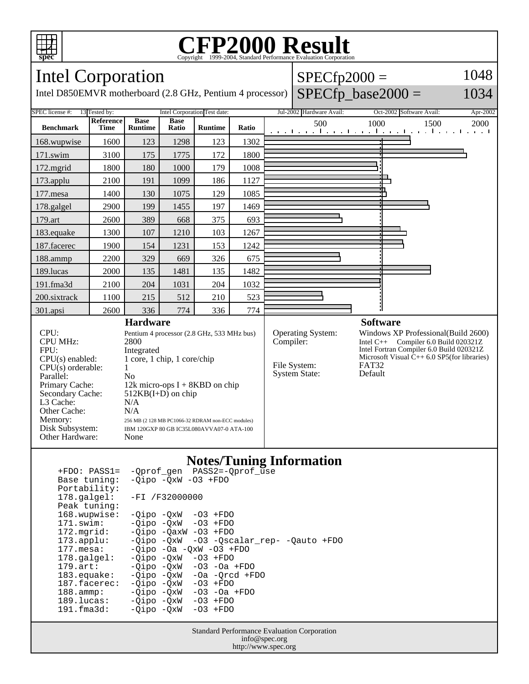

### **CFP2000 Result** Copyright ©1999-2004, Standard P

1048

1034

#### **spec** Intel Corporation  $SPECfp2000 =$  $SPECfp\_base2000 =$ Intel D850EMVR motherboard (2.8 GHz, Pentium 4 processor) SPEC license #: 13 Tested by: Intel Corporation Test date: Jul-2002 Hardware Avail: Oct-2002 Software Avail: Apr-2002 **Reference Base Base Ratio Runtime Ratio** 500 1000 1500 2000 **Benchmark Runtime Time** 168.wupwise 1600 123 1298 123 1302 171.swim | 3100 | 175 | 1775 | 172 | 1800 172.mgrid | 1800 | 180 | 1000 | 179 | 1008 ┓ 173.applu | 2100 | 191 | 1099 | 186 | 1127 177. mesa | 1400 | 130 | 1075 | 129 | 1085 178.galgel | 2900 | 199 | 1455 | 197 | 1469 179.art | 2600 | 389 | 668 | 375 | 693 183.equake 1300 107 1210 103 1267 187.facerec | 1900 | 154 | 1231 | 153 | 1242 188.ammp | 2200 | 329 | 669 | 326 | 675 189.lucas | 2000 | 135 | 1481 | 135 | 1482 191.fma3d 2100 204 1031 204 1032 200.sixtrack 1100 215 512 210 523 301.apsi 2600 336 774 336 774 **Hardware Software** CPU: Pentium 4 processor (2.8 GHz, 533 MHz bus)<br>CPU MHz: 2800 Operating System: Windows XP Professional(Build 2600)<br>Compiler: Intel C++ Compiler 6.0 Build 020321Z CPU MHz: Intel  $C_{++}$  Compiler 6.0 Build 020321Z Intel Fortran Compiler 6.0 Build 020321Z FPU: Integrated<br>CPU(s) enabled: 1 core, 1 c Microsoft Visual  $\hat{C}_{++}$  6.0 SP5(for libraries)<br>FAT32 1 core, 1 chip, 1 core/chip File System: FAT32<br>System State: Default  $CPU(s)$  orderable:  $1$ System State: Parallel: No<br>Primary Cache: 12k 12k micro-ops  $I + 8KBD$  on chip Secondary Cache: 512KB(I+D) on chip L3 Cache: N/A<br>Other Cache: N/A Other Cache:<br>Memory:

256 MB (2 128 MB PC1066-32 RDRAM non-ECC modules)

Disk Subsystem: IBM 120GXP 80 GB IC35L080AVVA07-0 ATA-100

Other Hardware: None

### **Notes/Tuning Information**

| $+FDO: PASS1=$<br>Base tuning:<br>Portability: | -Qprof_gen PASS2=-Qprof_use<br>$-Qipo -QxW -O3 + FDO$ |
|------------------------------------------------|-------------------------------------------------------|
| 178.galgel:<br>Peak tuning:                    | $-FI /F32000000$                                      |
| 168.wupwise:                                   | $-Oipo -OXW -O3 + FDO$                                |
| 171.swim:                                      | $-Oipo$ $-OxW$ $-O3$ $+FDO$                           |
| $172.\text{mgrid}:$                            | $-0$ ipo $-0$ axW $-03$ $+$ FDO                       |
| $173.appendu$ :                                | $-Qipo -QxW -O3 -Qscalar rep- -Qauto +FDO$            |
| 177.mesa:                                      | $-Oipo -Oa -OXW -O3 + FDO$                            |
| $178.\text{qalgel}$ :                          | $-Oipo -OXW - O3 + FDO$                               |
| $179.\text{art}:$                              | $-Qipo -QxW -O3 -Oa + FDO$                            |
| $183.\n$ equake:                               | $-Qipo -QxW -Oa -Qrcd +FDO$                           |
| 187.facerec:                                   | $-Oipo$ $-OxW$ $-O3$ $+FDO$                           |
| $188.\text{amp}:$                              | $-Qipo -QxW -O3 -Oa + FDO$                            |
| 189.lucas:                                     | $-Qipo -QxW -O3 + FDO$                                |
| $191.f$ ma $3d:$                               | $-Oipo$ $-OxW$ $-O3$ $+FDO$                           |
|                                                |                                                       |
|                                                |                                                       |

Standard Performance Evaluation Corporation info@spec.org http://www.spec.org